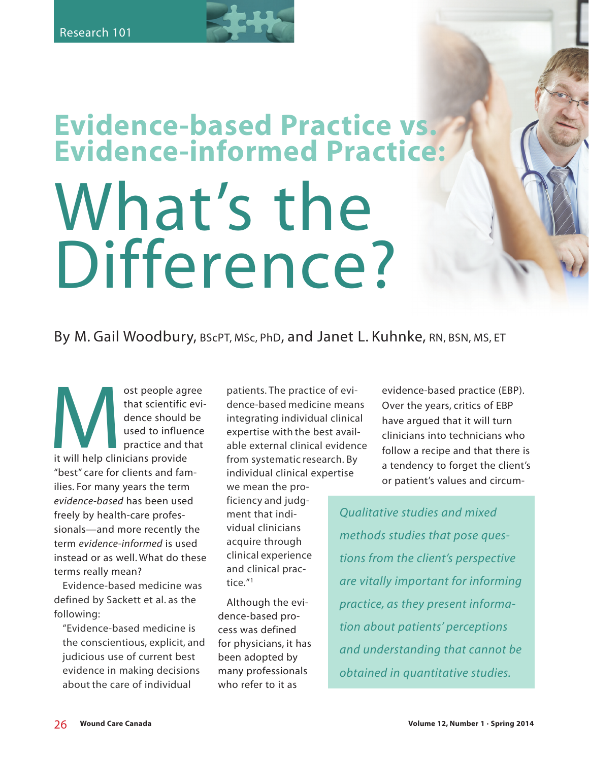# **Evidence-based Practice vs. Evidence-informed Practice:**  What's the Difference?

# By M. Gail Woodbury, BScPT, MSc, PhD, and Janet L. Kuhnke, RN, BSN, MS, ET

ost people agree<br>that scientific evi-<br>dence should be<br>used to influence<br>practice and that<br>it will help clinicians provide that scientific evidence should be used to influence practice and that it will help clinicians provide "best" care for clients and families. For many years the term *evidence-based* has been used freely by health-care professionals—and more recently the term *evidence-informed* is used instead or as well. What do these terms really mean?

Evidence-based medicine was defined by Sackett et al. as the following:

"Evidence-based medicine is the conscientious, explicit, and judicious use of current best evidence in making decisions about the care of individual

patients. The practice of evidence-based medicine means integrating individual clinical expertise with the best available external clinical evidence from systematic research. By individual clinical expertise we mean the proficiency and judgment that individual clinicians acquire through

clinical experience and clinical practice."1

Although the evidence-based process was defined for physicians, it has been adopted by many professionals who refer to it as

evidence-based practice (EBP). Over the years, critics of EBP have argued that it will turn clinicians into technicians who follow a recipe and that there is a tendency to forget the client's or patient's values and circum-

*Qualitative studies and mixed methods studies that pose questions from the client's perspective are vitally important for informing practice, as they present information about patients' perceptions and understanding that cannot be obtained in quantitative studies.*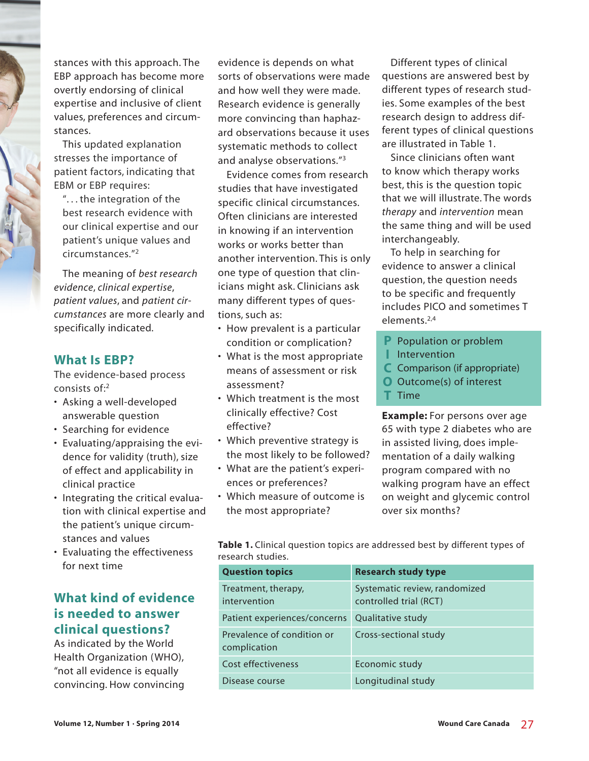stances with this approach. The EBP approach has become more overtly endorsing of clinical expertise and inclusive of client values, preferences and circumstances.

This updated explanation stresses the importance of patient factors, indicating that EBM or EBP requires:

". . . the integration of the best research evidence with our clinical expertise and our patient's unique values and circumstances."2

The meaning of *best research evidence*, *clinical expertise*, *patient values*, and *patient circumstances* are more clearly and specifically indicated.

#### **What Is EBP?**

The evidence-based process consists of:2

- Asking a well-developed answerable question
- Searching for evidence
- Evaluating/appraising the evidence for validity (truth), size of effect and applicability in clinical practice
- Integrating the critical evaluation with clinical expertise and the patient's unique circumstances and values
- Evaluating the effectiveness for next time

## **What kind of evidence is needed to answer clinical questions?**

As indicated by the World Health Organization (WHO), "not all evidence is equally convincing. How convincing

evidence is depends on what sorts of observations were made and how well they were made. Research evidence is generally more convincing than haphazard observations because it uses systematic methods to collect and analyse observations."3

Evidence comes from research studies that have investigated specific clinical circumstances. Often clinicians are interested in knowing if an intervention works or works better than another intervention. This is only one type of question that clinicians might ask. Clinicians ask many different types of questions, such as:

- How prevalent is a particular condition or complication?
- What is the most appropriate means of assessment or risk assessment?
- Which treatment is the most clinically effective? Cost effective?
- Which preventive strategy is the most likely to be followed?
- What are the patient's experiences or preferences?
- Which measure of outcome is the most appropriate?

Different types of clinical questions are answered best by different types of research studies. Some examples of the best research design to address different types of clinical questions are illustrated in Table 1.

Since clinicians often want to know which therapy works best, this is the question topic that we will illustrate. The words *therapy* and *intervention* mean the same thing and will be used interchangeably.

To help in searching for evidence to answer a clinical question, the question needs to be specific and frequently includes PICO and sometimes T elements.2,4

- **P** Population or problem
- **I** Intervention
- **C** Comparison (if appropriate)
- **O** Outcome(s) of interest
- **T** Time

**Example:** For persons over age 65 with type 2 diabetes who are in assisted living, does implementation of a daily walking program compared with no walking program have an effect on weight and glycemic control over six months?

Table 1. Clinical question topics are addressed best by different types of research studies.

| <b>Question topics</b>                     | <b>Research study type</b>                              |
|--------------------------------------------|---------------------------------------------------------|
| Treatment, therapy,<br>intervention        | Systematic review, randomized<br>controlled trial (RCT) |
| Patient experiences/concerns               | Qualitative study                                       |
| Prevalence of condition or<br>complication | Cross-sectional study                                   |
| Cost effectiveness                         | Economic study                                          |
| Disease course                             | Longitudinal study                                      |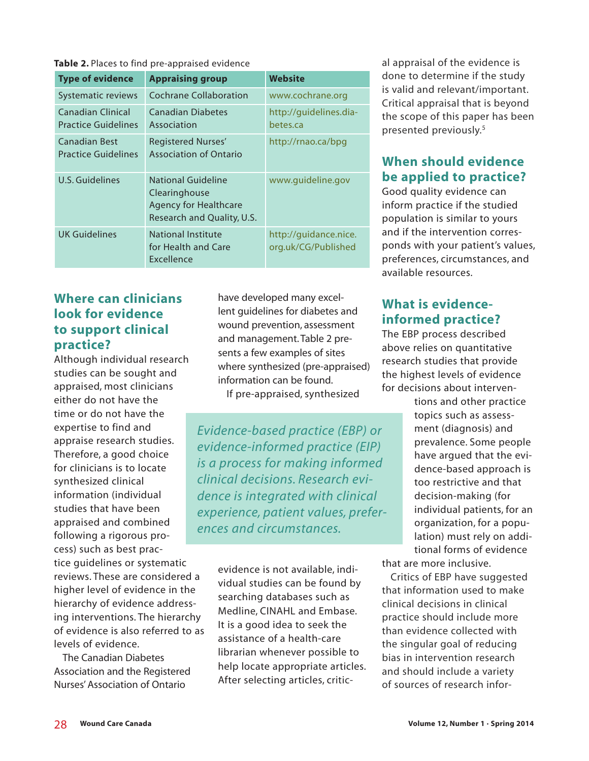**Table 2.** Places to find pre-appraised evidence

| <b>Type of evidence</b>                         | <b>Appraising group</b>                                                                           | <b>Website</b>                               |
|-------------------------------------------------|---------------------------------------------------------------------------------------------------|----------------------------------------------|
| <b>Systematic reviews</b>                       | <b>Cochrane Collaboration</b>                                                                     | www.cochrane.org                             |
| Canadian Clinical<br><b>Practice Guidelines</b> | <b>Canadian Diabetes</b><br>Association                                                           | http://guidelines.dia-<br>betes.ca           |
| Canadian Best<br><b>Practice Guidelines</b>     | Registered Nurses'<br><b>Association of Ontario</b>                                               | http://rnao.ca/bpg                           |
| <b>U.S. Guidelines</b>                          | National Guideline<br>Clearinghouse<br><b>Agency for Healthcare</b><br>Research and Quality, U.S. | www.guideline.gov                            |
| <b>UK Guidelines</b>                            | National Institute<br>for Health and Care<br>Excellence                                           | http://guidance.nice.<br>org.uk/CG/Published |

## **Where can clinicians look for evidence to support clinical practice?**

Although individual research studies can be sought and appraised, most clinicians either do not have the time or do not have the expertise to find and appraise research studies. Therefore, a good choice for clinicians is to locate synthesized clinical information (individual studies that have been appraised and combined following a rigorous process) such as best practice guidelines or systematic

reviews. These are considered a higher level of evidence in the hierarchy of evidence addressing interventions. The hierarchy of evidence is also referred to as levels of evidence.

The Canadian Diabetes Association and the Registered Nurses' Association of Ontario

have developed many excellent guidelines for diabetes and wound prevention, assessment and management. Table 2 presents a few examples of sites where synthesized (pre-appraised) information can be found.

If pre-appraised, synthesized

*Evidence-based practice (EBP) or evidence-informed practice (EIP) is a process for making informed clinical decisions. Research evidence is integrated with clinical experience, patient values, preferences and circumstances.* 

> evidence is not available, individual studies can be found by searching databases such as Medline, CINAHL and Embase. It is a good idea to seek the assistance of a health-care librarian whenever possible to help locate appropriate articles. After selecting articles, critic-

al appraisal of the evidence is done to determine if the study is valid and relevant/important. Critical appraisal that is beyond the scope of this paper has been presented previously.5

# **When should evidence be applied to practice?**

Good quality evidence can inform practice if the studied population is similar to yours and if the intervention corresponds with your patient's values, preferences, circumstances, and available resources.

# **What is evidenceinformed practice?**

The EBP process described above relies on quantitative research studies that provide the highest levels of evidence for decisions about interven-

> tions and other practice topics such as assessment (diagnosis) and prevalence. Some people have argued that the evidence-based approach is too restrictive and that decision-making (for individual patients, for an organization, for a population) must rely on additional forms of evidence

that are more inclusive.

Critics of EBP have suggested that information used to make clinical decisions in clinical practice should include more than evidence collected with the singular goal of reducing bias in intervention research and should include a variety of sources of research infor-